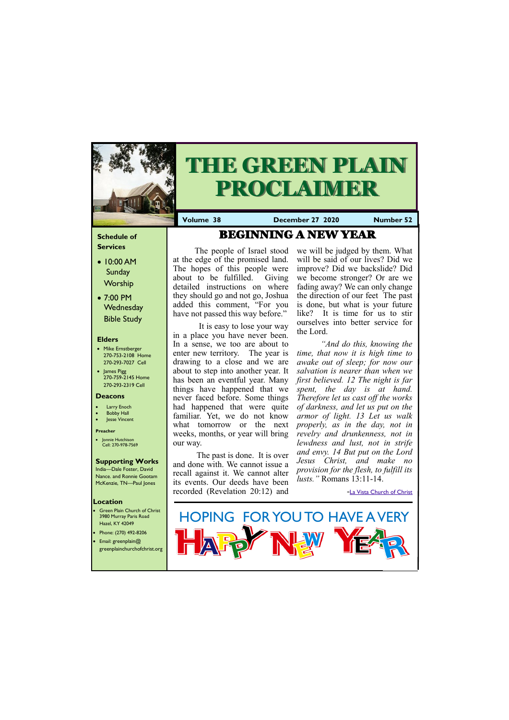### **Schedule of Services**

- 10:00 AM **Sunday Worship**
- 7:00 PM **Wednesday** Bible Study

#### **Elders**

- Mike Ernstberger 270-753-2108 Home 270-293-7027 Cell
- James Pigg 270-759-2145 Home 270-293-2319 Cell

#### **Location**

- 
- 
- 



The people of Israel stood at the edge of the promised land. The hopes of this people were about to be fulfilled. Giving detailed instructions on where they should go and not go, Joshua added this comment, "For you have not passed this way before."



# **THE GREEN PLAIN PROCLAIMER**

**Volume 38 December 27 2020 Number 52**

#### **Deacons**

- **Larry Enoch**
- **Bobby Hall**
- **Jesse Vincent**

#### **Preacher**

• Jonnie Hutchison Cell: 270-978-7569

### **Supporting Works**

India—Dale Foster, David Nance. and Ronnie Gootam McKenzie, TN—Paul Jones

 It is easy to lose your way in a place you have never been. In a sense, we too are about to enter new territory. The year is drawing to a close and we are about to step into another year. It has been an eventful year. Many things have happened that we never faced before. Some things had happened that were quite familiar. Yet, we do not know what tomorrow or the next weeks, months, or year will bring our way.

The past is done. It is over and done with. We cannot issue a recall against it. We cannot alter its events. Our deeds have been recorded (Revelation 20:12) and

we will be judged by them. What will be said of our lives? Did we improve? Did we backslide? Did we become stronger? Or are we fading away? We can only change the direction of our feet The past is done, but what is your future like? It is time for us to stir ourselves into better service for the Lord.

*"And do this, knowing the time, that now it is high time to awake out of sleep; for now our salvation is nearer than when we first believed. 12 The night is far spent, the day is at hand. Therefore let us cast off the works of darkness, and let us put on the armor of light. 13 Let us walk properly, as in the day, not in revelry and drunkenness, not in lewdness and lust, not in strife and envy. 14 But put on the Lord Jesus Christ, and make no provision for the flesh, to fulfill its lusts."* Romans 13:11-14.

-[La Vista Church of Christ](https://www.lavistachurchofchrist.org/cms/)

# BEGINNING A NEW YEAR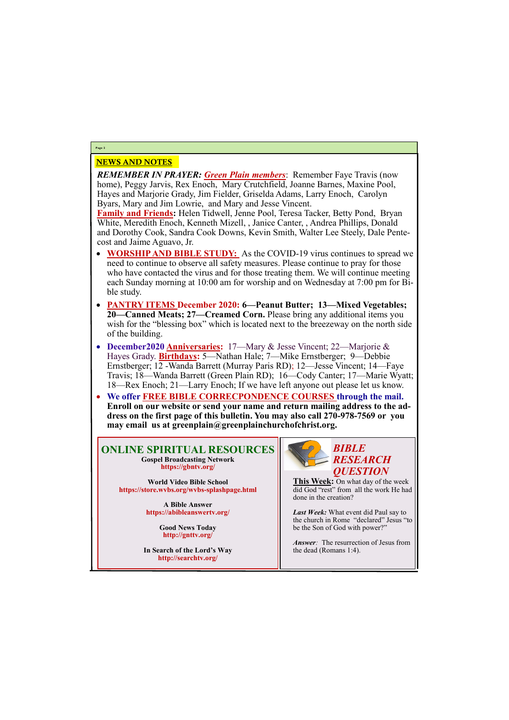# NEWS AND NOTES

*REMEMBER IN PRAYER: Green Plain members*: Remember Faye Travis (now home), Peggy Jarvis, Rex Enoch, Mary Crutchfield, Joanne Barnes, Maxine Pool, Hayes and Marjorie Grady, Jim Fielder, Griselda Adams, Larry Enoch, Carolyn Byars, Mary and Jim Lowrie, and Mary and Jesse Vincent.

**Family and Friends:** Helen Tidwell, Jenne Pool, Teresa Tacker, Betty Pond, Bryan White, Meredith Enoch, Kenneth Mizell, , Janice Canter, , Andrea Phillips, Donald and Dorothy Cook, Sandra Cook Downs, Kevin Smith, Walter Lee Steely, Dale Pentecost and Jaime Aguavo, Jr.

- **WORSHIP AND BIBLE STUDY:** As the COVID-19 virus continues to spread we need to continue to observe all safety measures. Please continue to pray for those who have contacted the virus and for those treating them. We will continue meeting each Sunday morning at 10:00 am for worship and on Wednesday at 7:00 pm for Bible study.
- **PANTRY ITEMS December 2020: 6—Peanut Butter; 13—Mixed Vegetables; 20—Canned Meats; 27—Creamed Corn.** Please bring any additional items you wish for the "blessing box" which is located next to the breezeway on the north side of the building.
- **December2020 Anniversaries:** 17—Mary & Jesse Vincent; 22—Marjorie & Hayes Grady. **Birthdays:** 5—Nathan Hale; 7—Mike Ernstberger; 9—Debbie Ernstberger; 12 -Wanda Barrett (Murray Paris RD); 12—Jesse Vincent; 14—Faye Travis; 18—Wanda Barrett (Green Plain RD); 16—Cody Canter; 17—Marie Wyatt; 18—Rex Enoch; 21—Larry Enoch; If we have left anyone out please let us know.
- **We offer FREE BIBLE CORRECPONDENCE COURSES through the mail. Enroll on our website or send your name and return mailing address to the address on the first page of this bulletin. You may also call 270-978-7569 or you may email us at greenplain@greenplainchurchofchrist.org.**

# **Page 2**

## **ONLINE SPIRITUAL RESOURCES Gospel Broadcasting Network https://gbntv.org/**

**World Video Bible School https://store.wvbs.org/wvbs-splashpage.html**

> **A Bible Answer https://abibleanswertv.org/**

> > **Good News Today http://gnttv.org/**

**In Search of the Lord's Way http://searchtv.org/**



**This Week:** On what day of the week did God "rest" from all the work He had done in the creation?

*Last Week:* What event did Paul say to the church in Rome "declared" Jesus "to be the Son of God with power?"

*Answer:* The resurrection of Jesus from

the dead (Romans 1:4).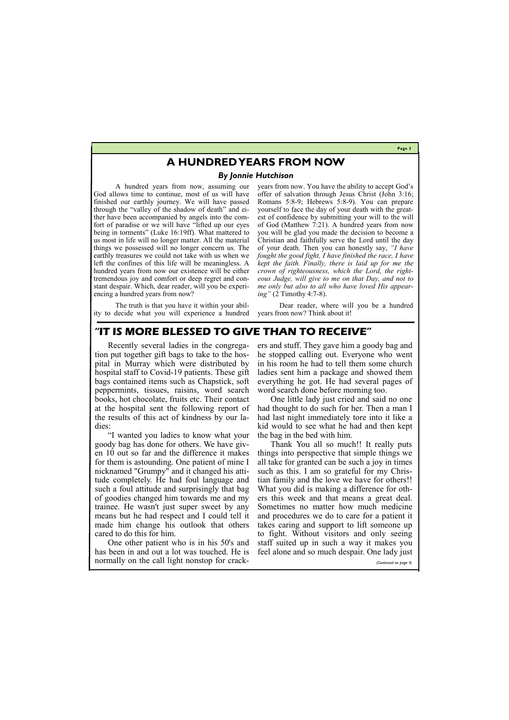#### **Page 3**

# **A HUNDRED YEARS FROM NOW**

#### *By Jonnie Hutchison*

A hundred years from now, assuming our God allows time to continue, most of us will have finished our earthly journey. We will have passed through the "valley of the shadow of death" and either have been accompanied by angels into the comfort of paradise or we will have "lifted up our eyes being in torments" (Luke 16:19ff). What mattered to us most in life will no longer matter. All the material things we possessed will no longer concern us. The earthly treasures we could not take with us when we left the confines of this life will be meaningless. A hundred years from now our existence will be either tremendous joy and comfort or deep regret and constant despair. Which, dear reader, will you be experiencing a hundred years from now?

The truth is that you have it within your ability to decide what you will experience a hundred years from now. You have the ability to accept God's offer of salvation through Jesus Christ (John 3:16; Romans 5:8-9; Hebrews 5:8-9). You can prepare yourself to face the day of your death with the greatest of confidence by submitting your will to the will of God (Matthew 7:21). A hundred years from now you will be glad you made the decision to become a Christian and faithfully serve the Lord until the day of your death. Then you can honestly say, *"I have fought the good fight, I have finished the race, I have kept the faith. Finally, there is laid up for me the crown of righteousness, which the Lord, the righteous Judge, will give to me on that Day, and not to me only but also to all who have loved His appearing"* (2 Timothy 4:7-8).

Dear reader, where will you be a hundred years from now? Think about it!

# **"IT IS MORE BLESSED TO GIVE THAN TO RECEIVE"**

Recently several ladies in the congregation put together gift bags to take to the hospital in Murray which were distributed by hospital staff to Covid-19 patients. These gift bags contained items such as Chapstick, soft peppermints, tissues, raisins, word search books, hot chocolate, fruits etc. Their contact at the hospital sent the following report of the results of this act of kindness by our ladies:

"I wanted you ladies to know what your goody bag has done for others. We have given 10 out so far and the difference it makes for them is astounding. One patient of mine I nicknamed "Grumpy" and it changed his attitude completely. He had foul language and such a foul attitude and surprisingly that bag of goodies changed him towards me and my trainee. He wasn't just super sweet by any means but he had respect and I could tell it made him change his outlook that others

ers and stuff. They gave him a goody bag and he stopped calling out. Everyone who went in his room he had to tell them some church ladies sent him a package and showed them everything he got. He had several pages of word search done before morning too.

One little lady just cried and said no one had thought to do such for her. Then a man I had last night immediately tore into it like a kid would to see what he had and then kept the bag in the bed with him.

cared to do this for him. One other patient who is in his 50's and staff suited up in such a way it makes you has been in and out a lot was touched. He is feel alone and so much despair. One lady just normally on the call light nonstop for crack-Thank You all so much!! It really puts things into perspective that simple things we all take for granted can be such a joy in times such as this. I am so grateful for my Christian family and the love we have for others!! What you did is making a difference for others this week and that means a great deal. Sometimes no matter how much medicine and procedures we do to care for a patient it takes caring and support to lift someone up to fight. Without visitors and only seeing *(Continued on page 4)*